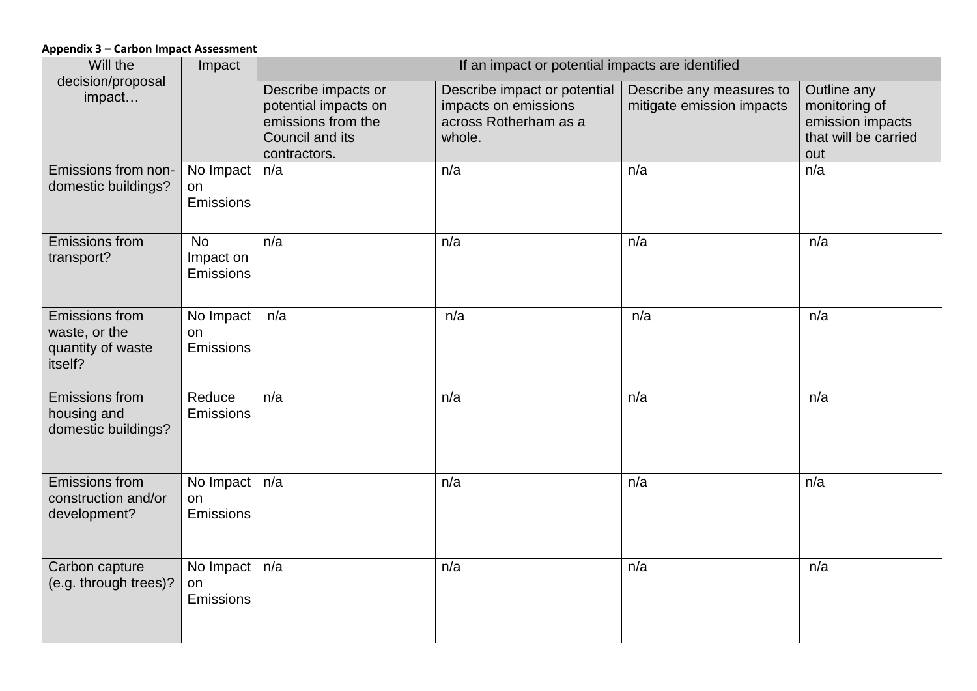## **Appendix 3 – Carbon Impact Assessment**

| Will the                                | Impact           | If an impact or potential impacts are identified |                                                      |                                                       |                              |
|-----------------------------------------|------------------|--------------------------------------------------|------------------------------------------------------|-------------------------------------------------------|------------------------------|
| decision/proposal<br>impact             |                  | Describe impacts or<br>potential impacts on      | Describe impact or potential<br>impacts on emissions | Describe any measures to<br>mitigate emission impacts | Outline any<br>monitoring of |
|                                         |                  | emissions from the                               | across Rotherham as a                                |                                                       | emission impacts             |
|                                         |                  | Council and its                                  | whole.                                               |                                                       | that will be carried         |
|                                         |                  | contractors.                                     |                                                      |                                                       | out                          |
| Emissions from non-                     | No Impact        | n/a                                              | n/a                                                  | n/a                                                   | n/a                          |
| domestic buildings?                     | on<br>Emissions  |                                                  |                                                      |                                                       |                              |
|                                         |                  |                                                  |                                                      |                                                       |                              |
| <b>Emissions from</b>                   | <b>No</b>        | n/a                                              | n/a                                                  | n/a                                                   | n/a                          |
| transport?                              | Impact on        |                                                  |                                                      |                                                       |                              |
|                                         | <b>Emissions</b> |                                                  |                                                      |                                                       |                              |
| <b>Emissions from</b>                   | No Impact        | n/a                                              | n/a                                                  | n/a                                                   | n/a                          |
| waste, or the                           | on               |                                                  |                                                      |                                                       |                              |
| quantity of waste                       | Emissions        |                                                  |                                                      |                                                       |                              |
| itself?                                 |                  |                                                  |                                                      |                                                       |                              |
| Emissions from                          | Reduce           | n/a                                              | n/a                                                  | n/a                                                   | n/a                          |
| housing and<br>domestic buildings?      | <b>Emissions</b> |                                                  |                                                      |                                                       |                              |
|                                         |                  |                                                  |                                                      |                                                       |                              |
|                                         |                  |                                                  |                                                      |                                                       |                              |
| Emissions from<br>construction and/or   | No Impact        | n/a                                              | n/a                                                  | n/a                                                   | n/a                          |
| development?                            | on<br>Emissions  |                                                  |                                                      |                                                       |                              |
|                                         |                  |                                                  |                                                      |                                                       |                              |
|                                         |                  |                                                  |                                                      |                                                       |                              |
| Carbon capture<br>(e.g. through trees)? | No Impact<br>on  | n/a                                              | n/a                                                  | n/a                                                   | n/a                          |
|                                         | Emissions        |                                                  |                                                      |                                                       |                              |
|                                         |                  |                                                  |                                                      |                                                       |                              |
|                                         |                  |                                                  |                                                      |                                                       |                              |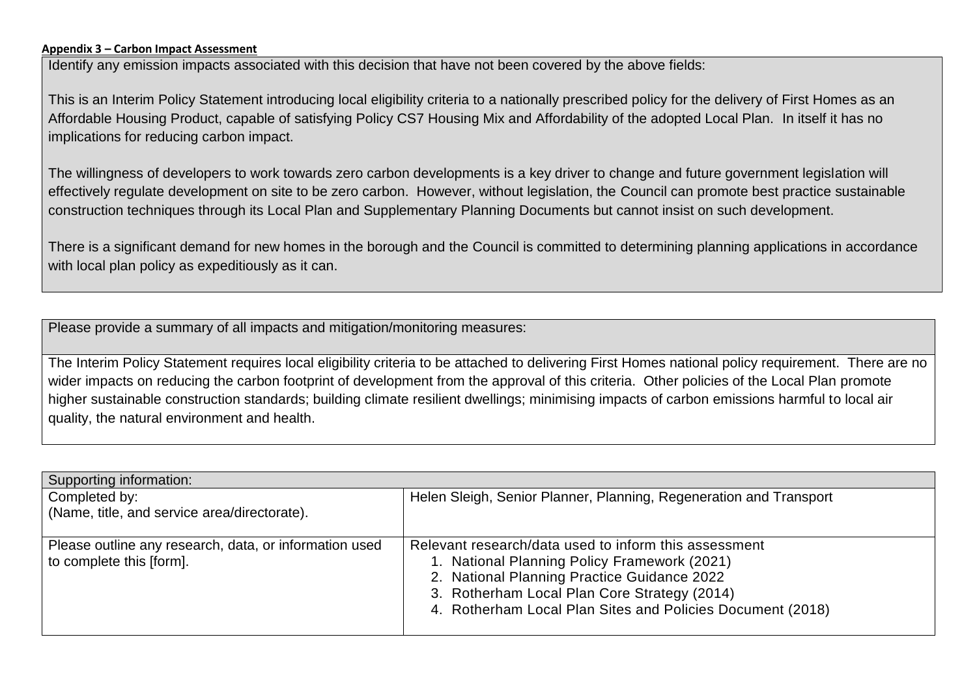## **Appendix 3 – Carbon Impact Assessment**

Identify any emission impacts associated with this decision that have not been covered by the above fields:

This is an Interim Policy Statement introducing local eligibility criteria to a nationally prescribed policy for the delivery of First Homes as an Affordable Housing Product, capable of satisfying Policy CS7 Housing Mix and Affordability of the adopted Local Plan. In itself it has no implications for reducing carbon impact.

The willingness of developers to work towards zero carbon developments is a key driver to change and future government legislation will effectively regulate development on site to be zero carbon. However, without legislation, the Council can promote best practice sustainable construction techniques through its Local Plan and Supplementary Planning Documents but cannot insist on such development.

There is a significant demand for new homes in the borough and the Council is committed to determining planning applications in accordance with local plan policy as expeditiously as it can.

Please provide a summary of all impacts and mitigation/monitoring measures:

The Interim Policy Statement requires local eligibility criteria to be attached to delivering First Homes national policy requirement. There are no wider impacts on reducing the carbon footprint of development from the approval of this criteria. Other policies of the Local Plan promote higher sustainable construction standards; building climate resilient dwellings; minimising impacts of carbon emissions harmful to local air quality, the natural environment and health.

| Supporting information:                                |                                                                    |  |  |  |
|--------------------------------------------------------|--------------------------------------------------------------------|--|--|--|
| Completed by:                                          | Helen Sleigh, Senior Planner, Planning, Regeneration and Transport |  |  |  |
| (Name, title, and service area/directorate).           |                                                                    |  |  |  |
|                                                        |                                                                    |  |  |  |
| Please outline any research, data, or information used | Relevant research/data used to inform this assessment              |  |  |  |
| to complete this [form].                               | 1. National Planning Policy Framework (2021)                       |  |  |  |
|                                                        | 2. National Planning Practice Guidance 2022                        |  |  |  |
|                                                        | 3. Rotherham Local Plan Core Strategy (2014)                       |  |  |  |
|                                                        | 4. Rotherham Local Plan Sites and Policies Document (2018)         |  |  |  |
|                                                        |                                                                    |  |  |  |